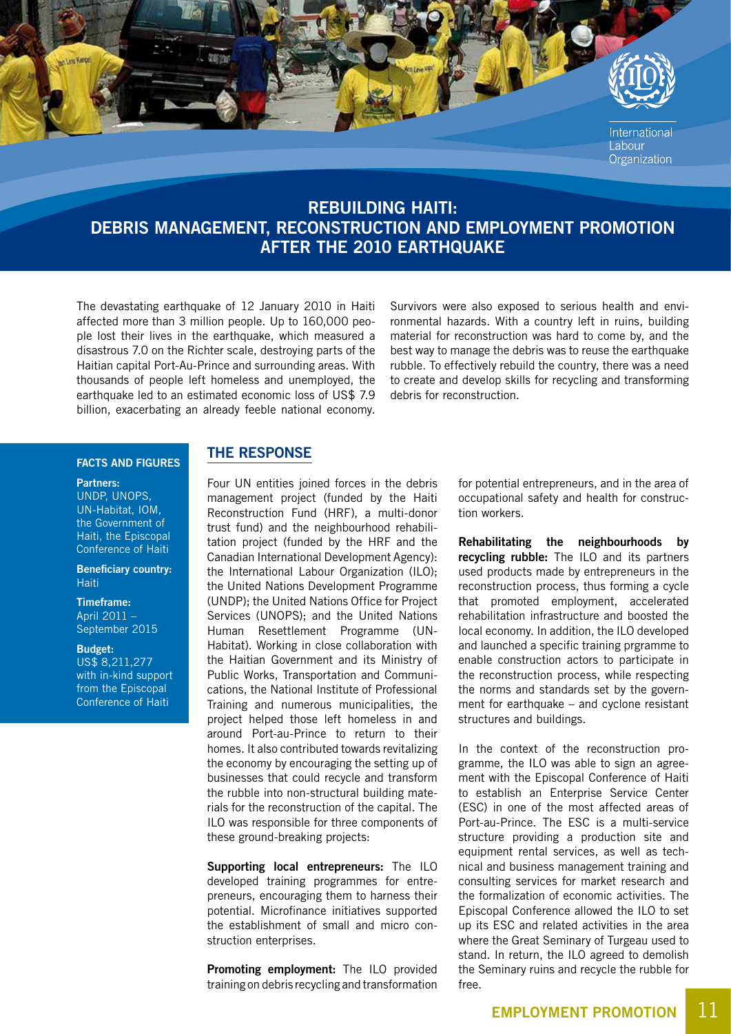

## REBUILDING HAITI: DEBRIS MANAGEMENT, RECONSTRUCTION AND EMPLOYMENT PROMOTION AFTER THE 2010 EARTHQUAKE

The devastating earthquake of 12 January 2010 in Haiti affected more than 3 million people. Up to 160,000 people lost their lives in the earthquake, which measured a disastrous 7.0 on the Richter scale, destroying parts of the Haitian capital Port-Au-Prince and surrounding areas. With thousands of people left homeless and unemployed, the earthquake led to an estimated economic loss of US\$ 7.9 billion, exacerbating an already feeble national economy. Survivors were also exposed to serious health and environmental hazards. With a country left in ruins, building material for reconstruction was hard to come by, and the best way to manage the debris was to reuse the earthquake rubble. To effectively rebuild the country, there was a need to create and develop skills for recycling and transforming debris for reconstruction.

### FACTS AND FIGURES

#### Partners:

UNDP, UNOPS, UN-Habitat, IOM, the Government of Haiti, the Episcopal Conference of Haiti

Beneficiary country: Haiti

#### Timeframe: April 2011 – September 2015

Budget:

US\$ 8,211,277 with in-kind support from the Episcopal Conference of Haiti

## THE RESPONSE

Four UN entities joined forces in the debris management project (funded by the Haiti Reconstruction Fund (HRF), a multi-donor trust fund) and the neighbourhood rehabilitation project (funded by the HRF and the Canadian International Development Agency): the International Labour Organization (ILO); the United Nations Development Programme (UNDP); the United Nations Office for Project Services (UNOPS); and the United Nations Human Resettlement Programme (UN-Habitat). Working in close collaboration with the Haitian Government and its Ministry of Public Works, Transportation and Communications, the National Institute of Professional Training and numerous municipalities, the project helped those left homeless in and around Port-au-Prince to return to their homes. It also contributed towards revitalizing the economy by encouraging the setting up of businesses that could recycle and transform the rubble into non-structural building materials for the reconstruction of the capital. The ILO was responsible for three components of these ground-breaking projects:

Supporting local entrepreneurs: The ILO developed training programmes for entrepreneurs, encouraging them to harness their potential. Microfinance initiatives supported the establishment of small and micro construction enterprises.

Promoting employment: The ILO provided training on debris recycling and transformation for potential entrepreneurs, and in the area of occupational safety and health for construction workers.

Rehabilitating the neighbourhoods by recycling rubble: The ILO and its partners used products made by entrepreneurs in the reconstruction process, thus forming a cycle that promoted employment, accelerated rehabilitation infrastructure and boosted the local economy. In addition, the ILO developed and launched a specific training prgramme to enable construction actors to participate in the reconstruction process, while respecting the norms and standards set by the government for earthquake – and cyclone resistant structures and buildings.

In the context of the reconstruction programme, the ILO was able to sign an agreement with the Episcopal Conference of Haiti to establish an Enterprise Service Center (ESC) in one of the most affected areas of Port-au-Prince. The ESC is a multi-service structure providing a production site and equipment rental services, as well as technical and business management training and consulting services for market research and the formalization of economic activities. The Episcopal Conference allowed the ILO to set up its ESC and related activities in the area where the Great Seminary of Turgeau used to stand. In return, the ILO agreed to demolish the Seminary ruins and recycle the rubble for free.